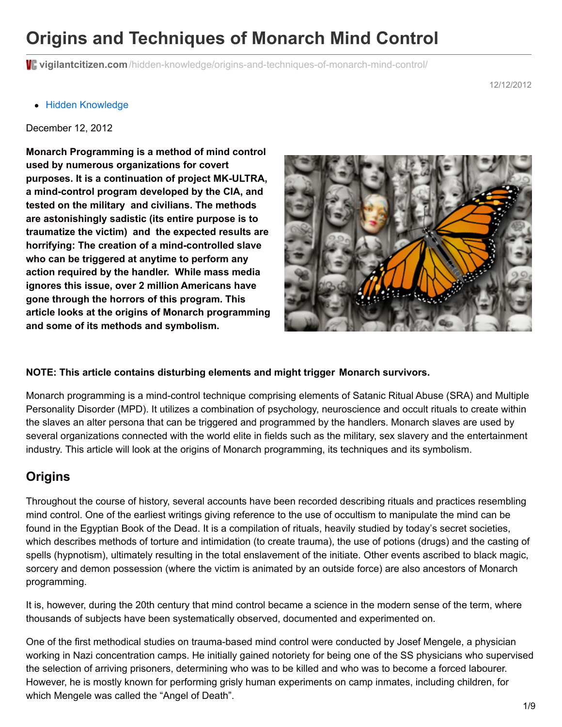# **Origins and Techniques of Monarch Mind Control**

**vigilantcitizen.com**[/hidden-knowledge/origins-and-techniques-of-monarch-mind-control/](https://vigilantcitizen.com/hidden-knowledge/origins-and-techniques-of-monarch-mind-control/)

#### **• Hidden [Knowledge](https://vigilantcitizen.com/category/hidden-knowledge/)**

December 12, 2012

**Monarch Programming is a method of mind control used by numerous organizations for covert purposes. It is a continuation of project MK-ULTRA, a mind-control program developed by the CIA, and tested on the military and civilians. The methods are astonishingly sadistic (its entire purpose is to traumatize the victim) and the expected results are horrifying: The creation of a mind-controlled slave who can be triggered at anytime to perform any action required by the handler. While mass media ignores this issue, over 2 million Americans have gone through the horrors of this program. This article looks at the origins of Monarch programming and some of its methods and symbolism.**



#### **NOTE: This article contains disturbing elements and might trigger Monarch survivors.**

Monarch programming is a mind-control technique comprising elements of Satanic Ritual Abuse (SRA) and Multiple Personality Disorder (MPD). It utilizes a combination of psychology, neuroscience and occult rituals to create within the slaves an alter persona that can be triggered and programmed by the handlers. Monarch slaves are used by several organizations connected with the world elite in fields such as the military, sex slavery and the entertainment industry. This article will look at the origins of Monarch programming, its techniques and its symbolism.

## **Origins**

Throughout the course of history, several accounts have been recorded describing rituals and practices resembling mind control. One of the earliest writings giving reference to the use of occultism to manipulate the mind can be found in the Egyptian Book of the Dead. It is a compilation of rituals, heavily studied by today's secret societies, which describes methods of torture and intimidation (to create trauma), the use of potions (drugs) and the casting of spells (hypnotism), ultimately resulting in the total enslavement of the initiate. Other events ascribed to black magic, sorcery and demon possession (where the victim is animated by an outside force) are also ancestors of Monarch programming.

It is, however, during the 20th century that mind control became a science in the modern sense of the term, where thousands of subjects have been systematically observed, documented and experimented on.

One of the first methodical studies on trauma-based mind control were conducted by Josef Mengele, a physician working in Nazi concentration camps. He initially gained notoriety for being one of the SS physicians who supervised the selection of arriving prisoners, determining who was to be killed and who was to become a forced labourer. However, he is mostly known for performing grisly human experiments on camp inmates, including children, for which Mengele was called the "Angel of Death".

12/12/2012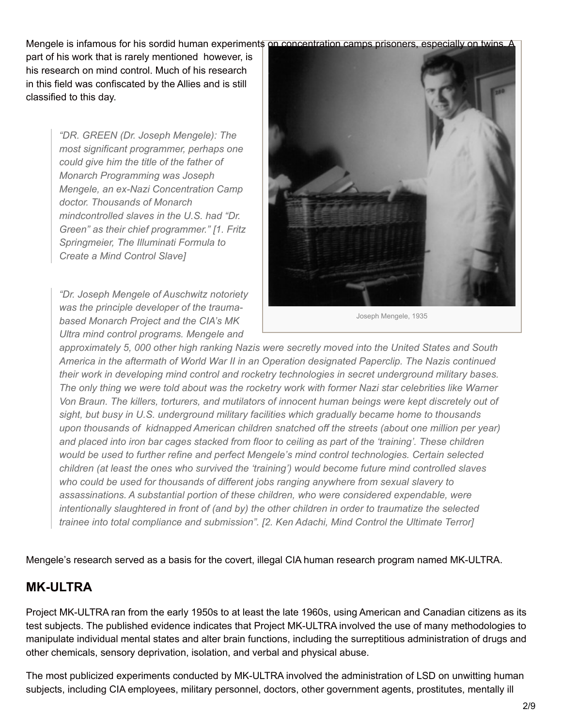Mengele is infamous for his sordid human experiments on concentration camps prisoners, especially on twins. A part of his work that is rarely mentioned however, is his research on mind control. Much of his research in this field was confiscated by the Allies and is still classified to this day.

*"DR. GREEN (Dr. Joseph Mengele): The most significant programmer, perhaps one could give him the title of the father of Monarch Programming was Joseph Mengele, an ex-Nazi Concentration Camp doctor. Thousands of Monarch mindcontrolled slaves in the U.S. had "Dr. Green" as their chief programmer." [1. Fritz Springmeier, The Illuminati Formula to Create a Mind Control Slave]*

*"Dr. Joseph Mengele of Auschwitz notoriety was the principle developer of the traumabased Monarch Project and the CIA's MK Ultra mind control programs. Mengele and*



Joseph Mengele, 1935

*approximately 5, 000 other high ranking Nazis were secretly moved into the United States and South America in the aftermath of World War II in an Operation designated Paperclip. The Nazis continued their work in developing mind control and rocketry technologies in secret underground military bases.* The only thing we were told about was the rocketry work with former Nazi star celebrities like Warner *Von Braun. The killers, torturers, and mutilators of innocent human beings were kept discretely out of sight, but busy in U.S. underground military facilities which gradually became home to thousands upon thousands of kidnapped American children snatched off the streets (about one million per year)* and placed into iron bar cages stacked from floor to ceiling as part of the 'training'. These children *would be used to further refine and perfect Mengele's mind control technologies. Certain selected children (at least the ones who survived the 'training') would become future mind controlled slaves who could be used for thousands of different jobs ranging anywhere from sexual slavery to assassinations. A substantial portion of these children, who were considered expendable, were intentionally slaughtered in front of (and by) the other children in order to traumatize the selected trainee into total compliance and submission". [2. Ken Adachi, Mind Control the Ultimate Terror]*

Mengele's research served as a basis for the covert, illegal CIA human research program named MK-ULTRA.

## **MK-ULTRA**

Project MK-ULTRA ran from the early 1950s to at least the late 1960s, using American and Canadian citizens as its test subjects. The published evidence indicates that Project MK-ULTRA involved the use of many methodologies to manipulate individual mental states and alter brain functions, including the surreptitious administration of drugs and other chemicals, sensory deprivation, isolation, and verbal and physical abuse.

The most publicized experiments conducted by MK-ULTRA involved the administration of LSD on unwitting human subjects, including CIA employees, military personnel, doctors, other government agents, prostitutes, mentally ill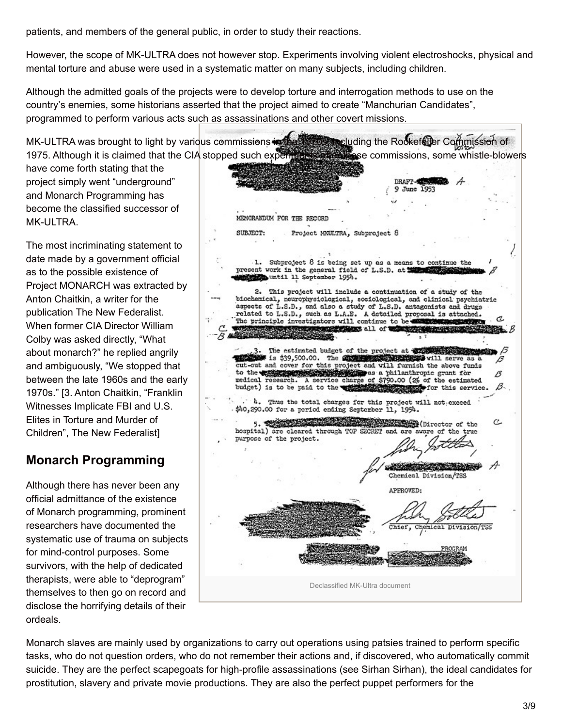patients, and members of the general public, in order to study their reactions.

However, the scope of MK-ULTRA does not however stop. Experiments involving violent electroshocks, physical and mental torture and abuse were used in a systematic matter on many subjects, including children.

Although the admitted goals of the projects were to develop torture and interrogation methods to use on the country's enemies, some historians asserted that the project aimed to create "Manchurian Candidates", programmed to perform various acts such as assassinations and other covert missions.

MK-ULTRA was brought to light by various commissions in the 1970s, a cluding the Rockefeller Commission of 1975. Although it is claimed that the CIA stopped such experiments and these commissions, some whistle-blowers

have come forth stating that the project simply went "underground" and Monarch Programming has become the classified successor of MK-ULTRA.

The most incriminating statement to date made by a government official as to the possible existence of Project MONARCH was extracted by Anton Chaitkin, a writer for the publication The New Federalist. When former CIA Director William Colby was asked directly, "What about monarch?" he replied angrily and ambiguously, "We stopped that between the late 1960s and the early 1970s." [3. Anton Chaitkin, "Franklin Witnesses Implicate FBI and U.S. Elites in Torture and Murder of Children", The New Federalist]

## **Monarch Programming**

Although there has never been any official admittance of the existence of Monarch programming, prominent researchers have documented the systematic use of trauma on subjects for mind-control purposes. Some survivors, with the help of dedicated therapists, were able to "deprogram" themselves to then go on record and disclose the horrifying details of their ordeals.

DRAFT-CERERACO 9 June 1953 MEMORANDUM FOR THE RECORD SUBJECT: Project MKULTRA, Subproject 8 1. Subproject 8 is being set up as a means to continue the present work in the general field of L.S.D. at the state both until 11 September 1954.  $2.$ This project will include a continuation of a study of the biochemical, neurophysiological, sociological, and clinical psychiatric aspects of L.S.D., and also a study of L.S.D. antagonists and drugs related to L.S.D., such as L.A.E. A detailed proposal is attached. The principle investigators will continue to be SECTIONS all of t The estimated budget of the project at  $\frac{1}{2}$  . The estimates  $\beta$ The most is \$39,500.00. The Charles of the most will serve as a B cut-out and cover for this project and will furnish the above funds to the experiments are the medical research of the estimated medical research. A service charge of \$790.00 (2% of the estimated 13 budget) is to be paid to the the control of this service. B. . 4. Thus the total charges for this project will not exceed \$40,290.00 for a period ending September 11, 1954. C **CONTRACTOR** (Director of the 5. THE STATE hospital) are cleared through TOP SECRET and are aware of the true purpose of the project. A Chemical Division/TSS APPROVED: Chief, Chemical Division/TSS AМ Declassified MK-Ultra document

Monarch slaves are mainly used by organizations to carry out operations using patsies trained to perform specific tasks, who do not question orders, who do not remember their actions and, if discovered, who automatically commit suicide. They are the perfect scapegoats for high-profile assassinations (see Sirhan Sirhan), the ideal candidates for prostitution, slavery and private movie productions. They are also the perfect puppet performers for the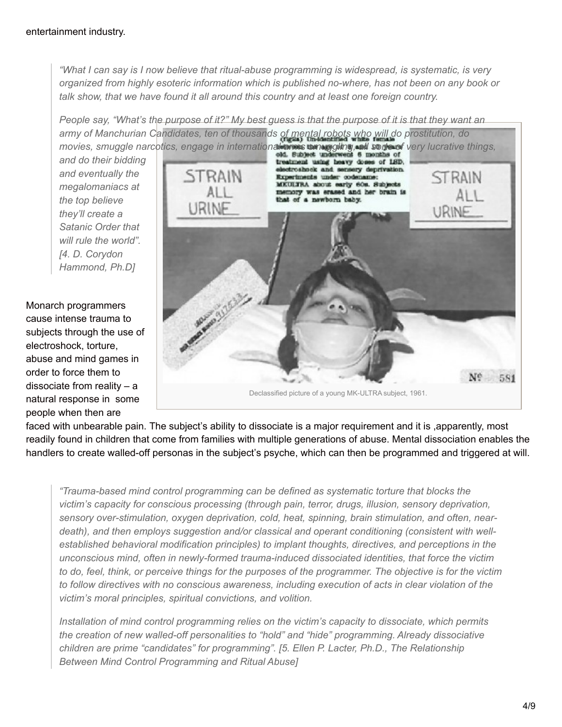*"What I can say is I now believe that ritual-abuse programming is widespread, is systematic, is very organized from highly esoteric information which is published no-where, has not been on any book or talk show, that we have found it all around this country and at least one foreign country.*

People say, "What's the purpose of it?" My best quess is that the purpose of it is that they want an *army of Manchurian Candidates, ten of thousands of mental robots who will do prostitution, do*

*and do their bidding and eventually the megalomaniacs at the top believe they'll create a Satanic Order that will rule the world". [4. D. Corydon Hammond, Ph.D]*

Monarch programmers cause intense trauma to subjects through the use of electroshock, torture, abuse and mind games in order to force them to dissociate from reality – a natural response in some people when then are



faced with unbearable pain. The subject's ability to dissociate is a major requirement and it is ,apparently, most readily found in children that come from families with multiple generations of abuse. Mental dissociation enables the handlers to create walled-off personas in the subject's psyche, which can then be programmed and triggered at will.

*"Trauma-based mind control programming can be defined as systematic torture that blocks the victim's capacity for conscious processing (through pain, terror, drugs, illusion, sensory deprivation, sensory over-stimulation, oxygen deprivation, cold, heat, spinning, brain stimulation, and often, neardeath), and then employs suggestion and/or classical and operant conditioning (consistent with wellestablished behavioral modification principles) to implant thoughts, directives, and perceptions in the unconscious mind, often in newly-formed trauma-induced dissociated identities, that force the victim* to do, feel, think, or perceive things for the purposes of the programmer. The objective is for the victim *to follow directives with no conscious awareness, including execution of acts in clear violation of the victim's moral principles, spiritual convictions, and volition.*

*Installation of mind control programming relies on the victim's capacity to dissociate, which permits the creation of new walled-off personalities to "hold" and "hide" programming. Already dissociative children are prime "candidates" for programming". [5. Ellen P. Lacter, Ph.D., The Relationship Between Mind Control Programming and Ritual Abuse]*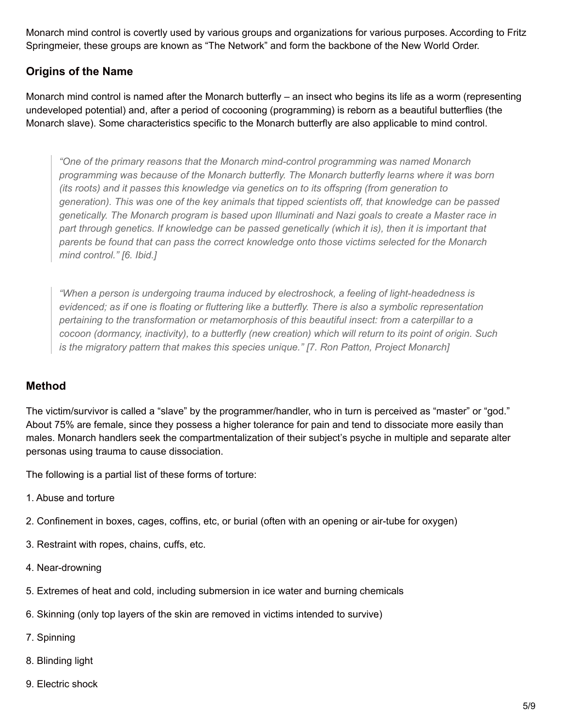Monarch mind control is covertly used by various groups and organizations for various purposes. According to Fritz Springmeier, these groups are known as "The Network" and form the backbone of the New World Order.

### **Origins of the Name**

Monarch mind control is named after the Monarch butterfly – an insect who begins its life as a worm (representing undeveloped potential) and, after a period of cocooning (programming) is reborn as a beautiful butterflies (the Monarch slave). Some characteristics specific to the Monarch butterfly are also applicable to mind control.

*"One of the primary reasons that the Monarch mind-control programming was named Monarch programming was because of the Monarch butterfly. The Monarch butterfly learns where it was born (its roots) and it passes this knowledge via genetics on to its offspring (from generation to generation). This was one of the key animals that tipped scientists off, that knowledge can be passed genetically. The Monarch program is based upon Illuminati and Nazi goals to create a Master race in part through genetics. If knowledge can be passed genetically (which it is), then it is important that parents be found that can pass the correct knowledge onto those victims selected for the Monarch mind control." [6. Ibid.]*

*"When a person is undergoing trauma induced by electroshock, a feeling of light-headedness is evidenced; as if one is floating or fluttering like a butterfly. There is also a symbolic representation pertaining to the transformation or metamorphosis of this beautiful insect: from a caterpillar to a* cocoon (dormancy, inactivity), to a butterfly (new creation) which will return to its point of origin. Such *is the migratory pattern that makes this species unique." [7. Ron Patton, Project Monarch]*

#### **Method**

The victim/survivor is called a "slave" by the programmer/handler, who in turn is perceived as "master" or "god." About 75% are female, since they possess a higher tolerance for pain and tend to dissociate more easily than males. Monarch handlers seek the compartmentalization of their subject's psyche in multiple and separate alter personas using trauma to cause dissociation.

The following is a partial list of these forms of torture:

- 1. Abuse and torture
- 2. Confinement in boxes, cages, coffins, etc, or burial (often with an opening or air-tube for oxygen)
- 3. Restraint with ropes, chains, cuffs, etc.
- 4. Near-drowning
- 5. Extremes of heat and cold, including submersion in ice water and burning chemicals
- 6. Skinning (only top layers of the skin are removed in victims intended to survive)
- 7. Spinning
- 8. Blinding light
- 9. Electric shock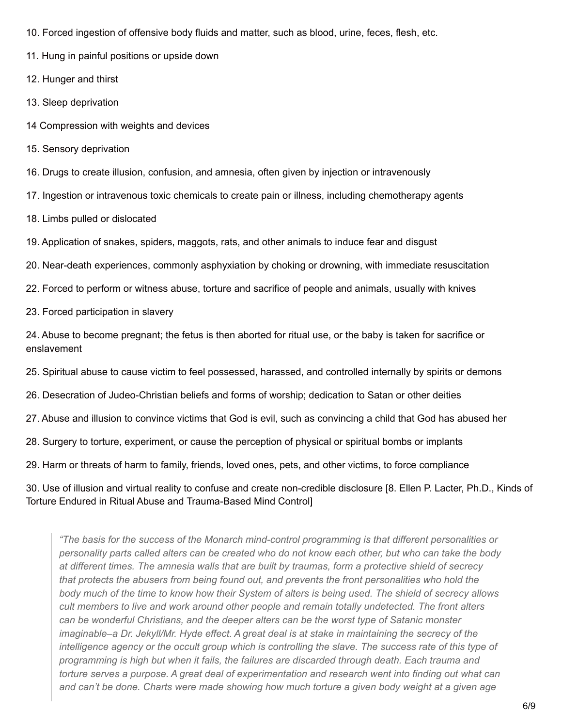- 10. Forced ingestion of offensive body fluids and matter, such as blood, urine, feces, flesh, etc.
- 11. Hung in painful positions or upside down
- 12. Hunger and thirst
- 13. Sleep deprivation
- 14 Compression with weights and devices
- 15. Sensory deprivation
- 16. Drugs to create illusion, confusion, and amnesia, often given by injection or intravenously
- 17. Ingestion or intravenous toxic chemicals to create pain or illness, including chemotherapy agents
- 18. Limbs pulled or dislocated
- 19. Application of snakes, spiders, maggots, rats, and other animals to induce fear and disgust
- 20. Near-death experiences, commonly asphyxiation by choking or drowning, with immediate resuscitation
- 22. Forced to perform or witness abuse, torture and sacrifice of people and animals, usually with knives
- 23. Forced participation in slavery

24. Abuse to become pregnant; the fetus is then aborted for ritual use, or the baby is taken for sacrifice or enslavement

25. Spiritual abuse to cause victim to feel possessed, harassed, and controlled internally by spirits or demons

- 26. Desecration of Judeo-Christian beliefs and forms of worship; dedication to Satan or other deities
- 27. Abuse and illusion to convince victims that God is evil, such as convincing a child that God has abused her
- 28. Surgery to torture, experiment, or cause the perception of physical or spiritual bombs or implants
- 29. Harm or threats of harm to family, friends, loved ones, pets, and other victims, to force compliance

#### 30. Use of illusion and virtual reality to confuse and create non-credible disclosure [8. Ellen P. Lacter, Ph.D., Kinds of Torture Endured in Ritual Abuse and Trauma-Based Mind Control]

*"The basis for the success of the Monarch mind-control programming is that different personalities or* personality parts called alters can be created who do not know each other, but who can take the body *at different times. The amnesia walls that are built by traumas, form a protective shield of secrecy that protects the abusers from being found out, and prevents the front personalities who hold the* body much of the time to know how their System of alters is being used. The shield of secrecy allows *cult members to live and work around other people and remain totally undetected. The front alters can be wonderful Christians, and the deeper alters can be the worst type of Satanic monster imaginable–a Dr. Jekyll/Mr. Hyde effect. A great deal is at stake in maintaining the secrecy of the* intelligence agency or the occult group which is controlling the slave. The success rate of this type of *programming is high but when it fails, the failures are discarded through death. Each trauma and torture serves a purpose. A great deal of experimentation and research went into finding out what can* and can't be done. Charts were made showing how much torture a given body weight at a given age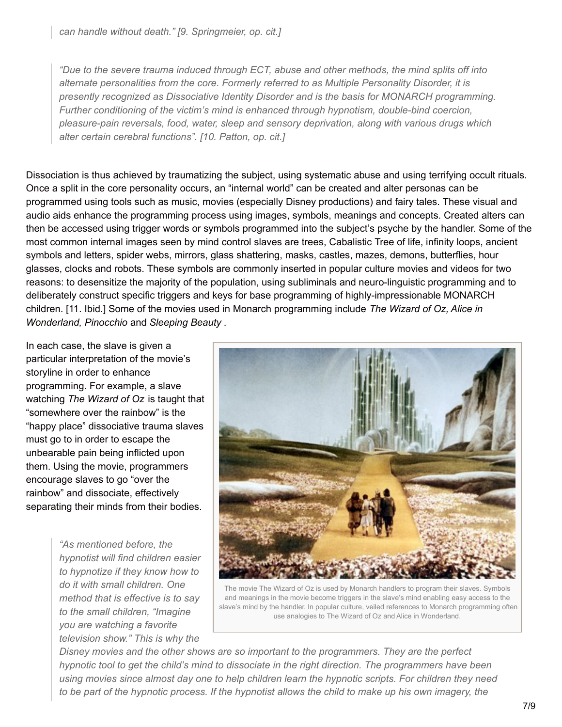*"Due to the severe trauma induced through ECT, abuse and other methods, the mind splits off into alternate personalities from the core. Formerly referred to as Multiple Personality Disorder, it is presently recognized as Dissociative Identity Disorder and is the basis for MONARCH programming. Further conditioning of the victim's mind is enhanced through hypnotism, double-bind coercion, pleasure-pain reversals, food, water, sleep and sensory deprivation, along with various drugs which alter certain cerebral functions". [10. Patton, op. cit.]*

Dissociation is thus achieved by traumatizing the subject, using systematic abuse and using terrifying occult rituals. Once a split in the core personality occurs, an "internal world" can be created and alter personas can be programmed using tools such as music, movies (especially Disney productions) and fairy tales. These visual and audio aids enhance the programming process using images, symbols, meanings and concepts. Created alters can then be accessed using trigger words or symbols programmed into the subject's psyche by the handler. Some of the most common internal images seen by mind control slaves are trees, Cabalistic Tree of life, infinity loops, ancient symbols and letters, spider webs, mirrors, glass shattering, masks, castles, mazes, demons, butterflies, hour glasses, clocks and robots. These symbols are commonly inserted in popular culture movies and videos for two reasons: to desensitize the majority of the population, using subliminals and neuro-linguistic programming and to deliberately construct specific triggers and keys for base programming of highly-impressionable MONARCH children. [11. Ibid.] Some of the movies used in Monarch programming include *The Wizard of Oz, Alice in Wonderland, Pinocchio* and *Sleeping Beauty .*

In each case, the slave is given a particular interpretation of the movie's storyline in order to enhance programming. For example, a slave watching *The Wizard of Oz* is taught that "somewhere over the rainbow" is the "happy place" dissociative trauma slaves must go to in order to escape the unbearable pain being inflicted upon them. Using the movie, programmers encourage slaves to go "over the rainbow" and dissociate, effectively separating their minds from their bodies.

> *"As mentioned before, the hypnotist will find children easier to hypnotize if they know how to do it with small children. One method that is effective is to say to the small children, "Imagine you are watching a favorite television show." This is why the*



The movie The Wizard of Oz is used by Monarch handlers to program their slaves. Symbols and meanings in the movie become triggers in the slave's mind enabling easy access to the slave's mind by the handler. In popular culture, veiled references to Monarch programming often use analogies to The Wizard of Oz and Alice in Wonderland.

*Disney movies and the other shows are so important to the programmers. They are the perfect hypnotic tool to get the child's mind to dissociate in the right direction. The programmers have been using movies since almost day one to help children learn the hypnotic scripts. For children they need* to be part of the hypnotic process. If the hypnotist allows the child to make up his own imagery, the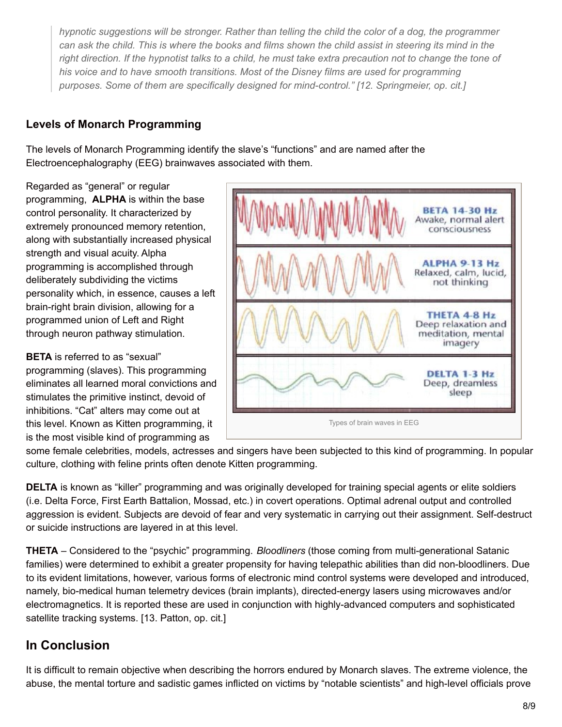*hypnotic suggestions will be stronger. Rather than telling the child the color of a dog, the programmer* can ask the child. This is where the books and films shown the child assist in steering its mind in the right direction. If the hypnotist talks to a child, he must take extra precaution not to change the tone of *his voice and to have smooth transitions. Most of the Disney films are used for programming purposes. Some of them are specifically designed for mind-control." [12. Springmeier, op. cit.]*

## **Levels of Monarch Programming**

The levels of Monarch Programming identify the slave's "functions" and are named after the Electroencephalography (EEG) brainwaves associated with them.

Regarded as "general" or regular programming, **ALPHA** is within the base control personality. It characterized by extremely pronounced memory retention, along with substantially increased physical strength and visual acuity. Alpha programming is accomplished through deliberately subdividing the victims personality which, in essence, causes a left brain-right brain division, allowing for a programmed union of Left and Right through neuron pathway stimulation.

**BETA** is referred to as "sexual" programming (slaves). This programming eliminates all learned moral convictions and stimulates the primitive instinct, devoid of inhibitions. "Cat" alters may come out at this level. Known as Kitten programming, it is the most visible kind of programming as



some female celebrities, models, actresses and singers have been subjected to this kind of programming. In popular culture, clothing with feline prints often denote Kitten programming.

**DELTA** is known as "killer" programming and was originally developed for training special agents or elite soldiers (i.e. Delta Force, First Earth Battalion, Mossad, etc.) in covert operations. Optimal adrenal output and controlled aggression is evident. Subjects are devoid of fear and very systematic in carrying out their assignment. Self-destruct or suicide instructions are layered in at this level.

**THETA** – Considered to the "psychic" programming. *Bloodliners* (those coming from multi-generational Satanic families) were determined to exhibit a greater propensity for having telepathic abilities than did non-bloodliners. Due to its evident limitations, however, various forms of electronic mind control systems were developed and introduced, namely, bio-medical human telemetry devices (brain implants), directed-energy lasers using microwaves and/or electromagnetics. It is reported these are used in conjunction with highly-advanced computers and sophisticated satellite tracking systems. [13. Patton, op. cit.]

# **In Conclusion**

It is difficult to remain objective when describing the horrors endured by Monarch slaves. The extreme violence, the abuse, the mental torture and sadistic games inflicted on victims by "notable scientists" and high-level officials prove